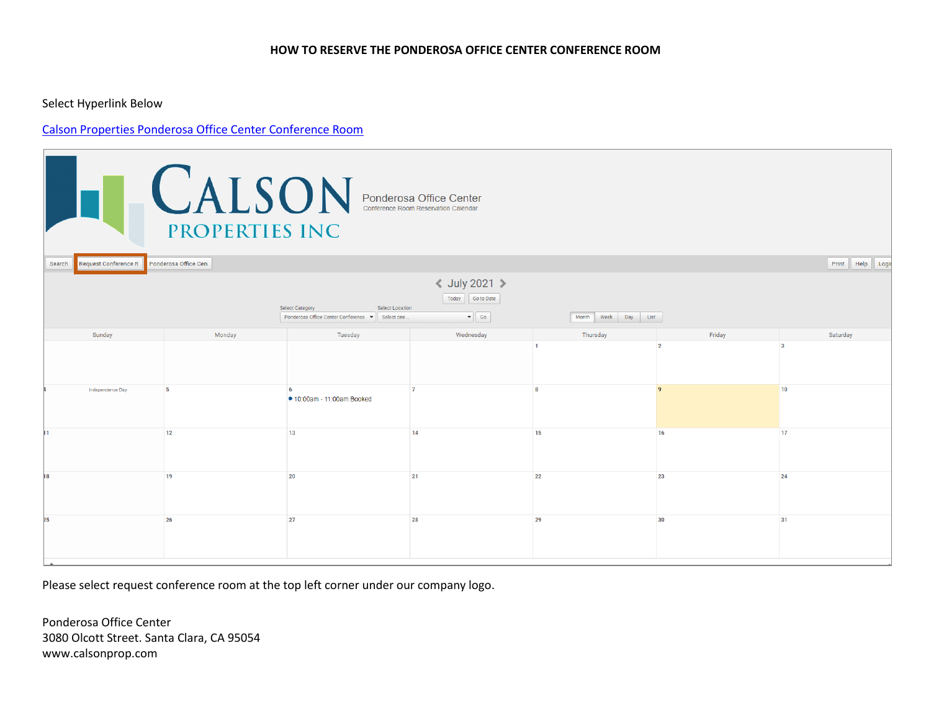## **HOW TO RESERVE THE PONDEROSA OFFICE CENTER CONFERENCE ROOM**

Select Hyperlink Below

## [Calson Properties Ponderosa Office Center Conference Room](https://www.calendarwiz.com/calendars/calendar.php?crd=calsonproperties&&jsenabled=1&winh=910&winw=1036&inifr=false)

| <b>CALSON</b> Ponderosa Office Center<br>PROPERTIES INC                                                                                                                                       |                      |                            |           |          |                |                     |  |  |  |
|-----------------------------------------------------------------------------------------------------------------------------------------------------------------------------------------------|----------------------|----------------------------|-----------|----------|----------------|---------------------|--|--|--|
| Request Conference R<br>Search                                                                                                                                                                | Ponderosa Office Cen |                            |           |          |                | Print Help<br>Logir |  |  |  |
| <b>く July 2021 &gt;</b><br>Go to Date<br>Today<br><b>Select Category</b><br><b>Select Location</b><br>$\bullet$ 60<br>Ponderosa Office Center Conference v Select one.<br>Month Week Day List |                      |                            |           |          |                |                     |  |  |  |
| Sunday                                                                                                                                                                                        | Monday               | Tuesday                    | Wednesday | Thursday | Friday         | Saturday            |  |  |  |
|                                                                                                                                                                                               |                      |                            |           |          | $\overline{2}$ |                     |  |  |  |
| Independence Day                                                                                                                                                                              | 5                    | ● 10:00am - 11:00am Booked |           |          |                | 10                  |  |  |  |
|                                                                                                                                                                                               | 12                   | 13                         | 14        | 15       | 16             | 17                  |  |  |  |
| 18                                                                                                                                                                                            | 19                   | 20                         | 21        | 22       | 23             | 24                  |  |  |  |
| 25                                                                                                                                                                                            | 26                   | 27                         | 28        | 29       | 30             | 31                  |  |  |  |

Please select request conference room at the top left corner under our company logo.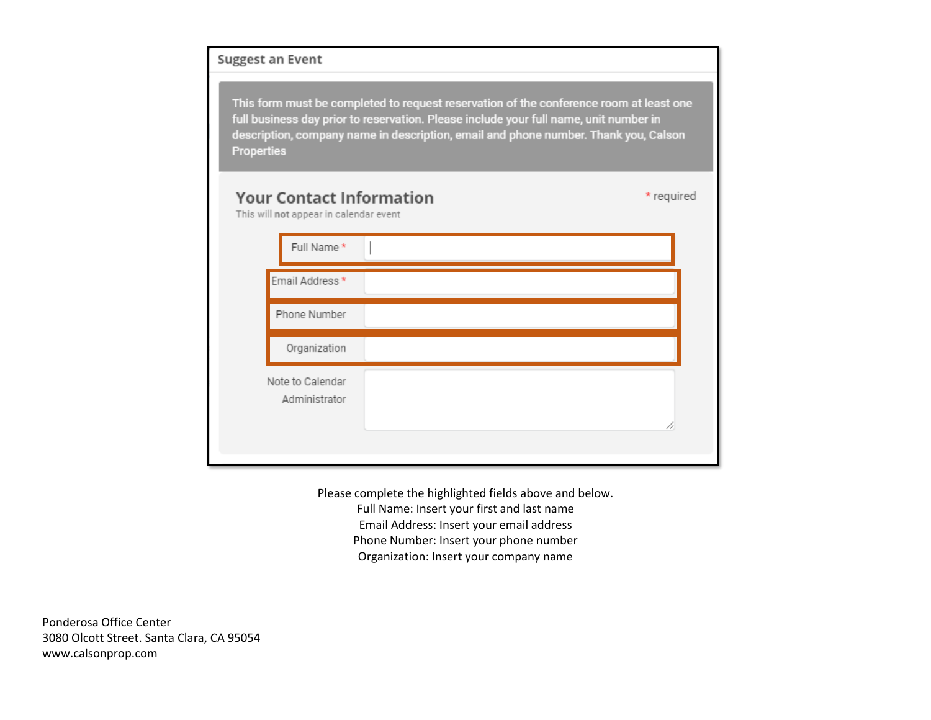## Suggest an Event

This form must be completed to request reservation of the conference room at least one full business day prior to reservation. Please include your full name, unit number in description, company name in description, email and phone number. Thank you, Calson **Properties** 

\* required

## **Your Contact Information** This will not appear in calendar event

| Full Name*                        |    |
|-----------------------------------|----|
| Email Address *                   |    |
| Phone Number                      |    |
| Organization                      |    |
| Note to Calendar<br>Administrator | 11 |
|                                   |    |

Please complete the highlighted fields above and below. Full Name: Insert your first and last name Email Address: Insert your email address Phone Number: Insert your phone number Organization: Insert your company name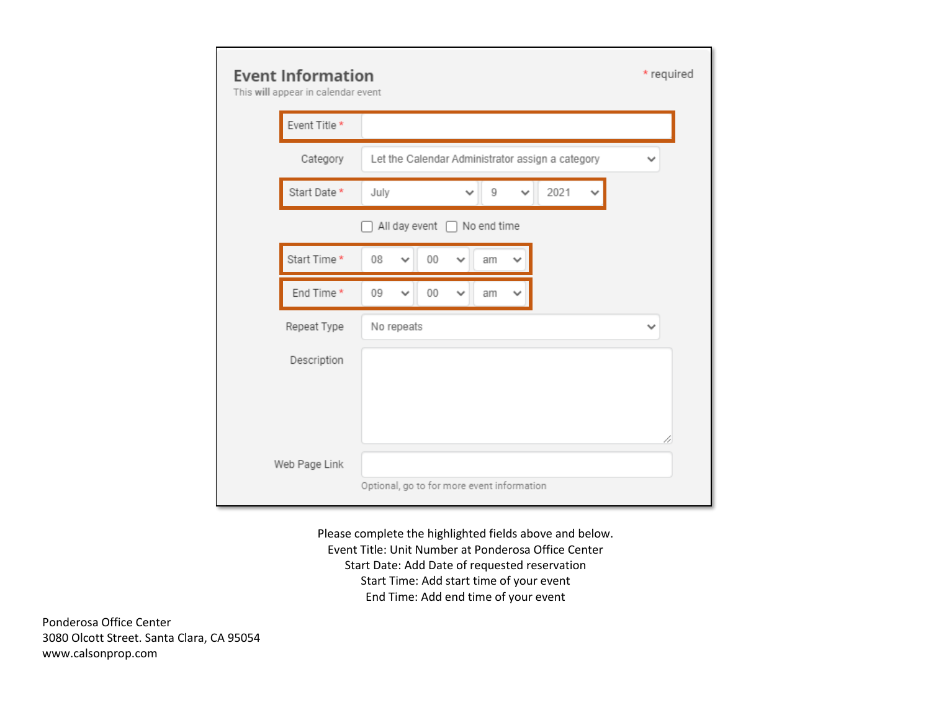| <b>Event Information</b><br>This will appear in calendar event | * required                                                        |              |  |  |  |  |  |
|----------------------------------------------------------------|-------------------------------------------------------------------|--------------|--|--|--|--|--|
| Event Title *                                                  |                                                                   |              |  |  |  |  |  |
| Category                                                       | Let the Calendar Administrator assign a category                  | ◡            |  |  |  |  |  |
| Start Date*                                                    | 2021<br>July<br>9                                                 |              |  |  |  |  |  |
| All day event n<br>No end time                                 |                                                                   |              |  |  |  |  |  |
| Start Time *                                                   | $00\,$<br>08<br>am<br>$\checkmark$                                |              |  |  |  |  |  |
| End Time *                                                     | 09<br>$00\,$<br>$\checkmark$<br>$\checkmark$<br>am<br>$\check{ }$ |              |  |  |  |  |  |
| Repeat Type                                                    | No repeats                                                        | $\checkmark$ |  |  |  |  |  |
| Description                                                    |                                                                   |              |  |  |  |  |  |
|                                                                |                                                                   |              |  |  |  |  |  |
|                                                                |                                                                   |              |  |  |  |  |  |
| Web Page Link                                                  |                                                                   |              |  |  |  |  |  |
| Optional, go to for more event information                     |                                                                   |              |  |  |  |  |  |

Please complete the highlighted fields above and below. Event Title: Unit Number at Ponderosa Office Center Start Date: Add Date of requested reservation Start Time: Add start time of your event End Time: Add end time of your event